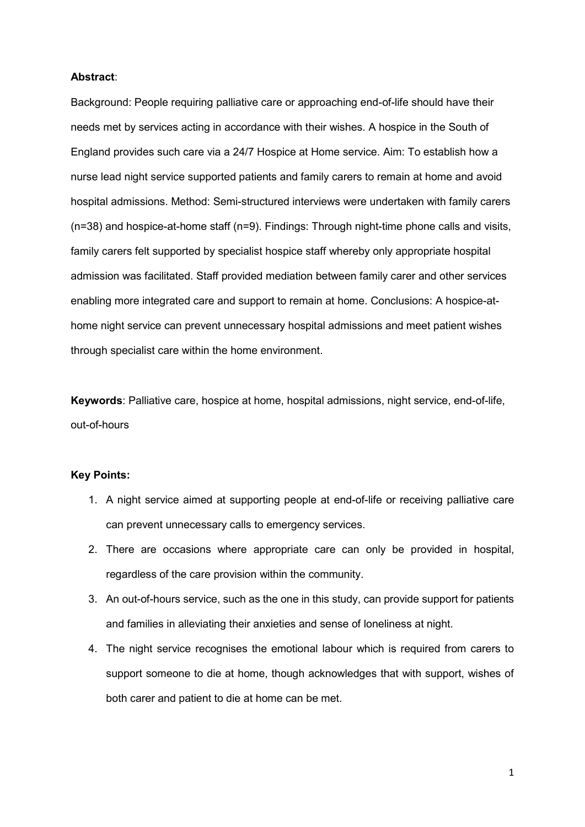### **Abstract**:

Background: People requiring palliative care or approaching end-of-life should have their needs met by services acting in accordance with their wishes. A hospice in the South of England provides such care via a 24/7 Hospice at Home service. Aim: To establish how a nurse lead night service supported patients and family carers to remain at home and avoid hospital admissions. Method: Semi-structured interviews were undertaken with family carers (n=38) and hospice-at-home staff (n=9). Findings: Through night-time phone calls and visits, family carers felt supported by specialist hospice staff whereby only appropriate hospital admission was facilitated. Staff provided mediation between family carer and other services enabling more integrated care and support to remain at home. Conclusions: A hospice-athome night service can prevent unnecessary hospital admissions and meet patient wishes through specialist care within the home environment.

**Keywords**: Palliative care, hospice at home, hospital admissions, night service, end-of-life, out-of-hours

# **Key Points:**

- 1. A night service aimed at supporting people at end-of-life or receiving palliative care can prevent unnecessary calls to emergency services.
- 2. There are occasions where appropriate care can only be provided in hospital, regardless of the care provision within the community.
- 3. An out-of-hours service, such as the one in this study, can provide support for patients and families in alleviating their anxieties and sense of loneliness at night.
- 4. The night service recognises the emotional labour which is required from carers to support someone to die at home, though acknowledges that with support, wishes of both carer and patient to die at home can be met.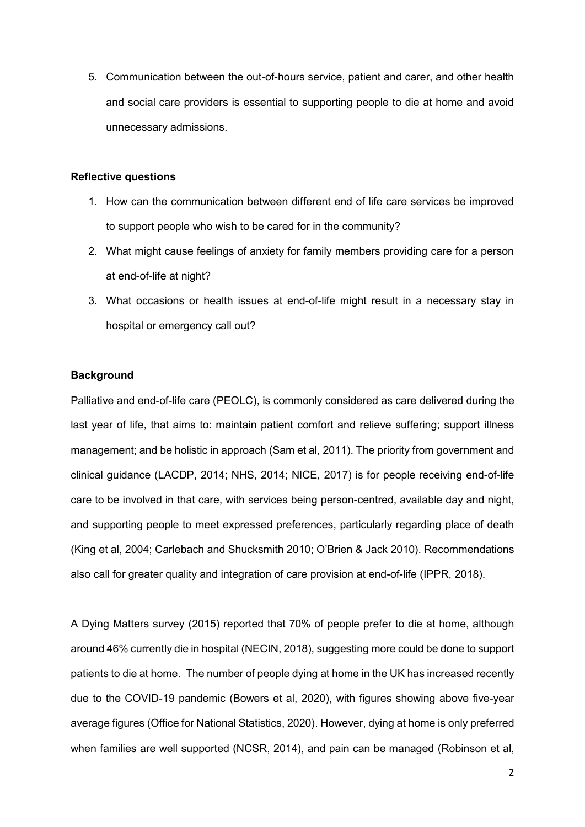5. Communication between the out-of-hours service, patient and carer, and other health and social care providers is essential to supporting people to die at home and avoid unnecessary admissions.

# **Reflective questions**

- 1. How can the communication between different end of life care services be improved to support people who wish to be cared for in the community?
- 2. What might cause feelings of anxiety for family members providing care for a person at end-of-life at night?
- 3. What occasions or health issues at end-of-life might result in a necessary stay in hospital or emergency call out?

# **Background**

Palliative and end-of-life care (PEOLC), is commonly considered as care delivered during the last year of life, that aims to: maintain patient comfort and relieve suffering; support illness management; and be holistic in approach (Sam et al, 2011). The priority from government and clinical guidance (LACDP, 2014; NHS, 2014; NICE, 2017) is for people receiving end-of-life care to be involved in that care, with services being person-centred, available day and night, and supporting people to meet expressed preferences, particularly regarding place of death (King et al, 2004; Carlebach and Shucksmith 2010; O'Brien & Jack 2010). Recommendations also call for greater quality and integration of care provision at end-of-life (IPPR, 2018).

A Dying Matters survey (2015) reported that 70% of people prefer to die at home, although around 46% currently die in hospital (NECIN, 2018), suggesting more could be done to support patients to die at home. The number of people dying at home in the UK has increased recently due to the COVID-19 pandemic (Bowers et al, 2020), with figures showing above five-year average figures (Office for National Statistics, 2020). However, dying at home is only preferred when families are well supported (NCSR, 2014), and pain can be managed (Robinson et al,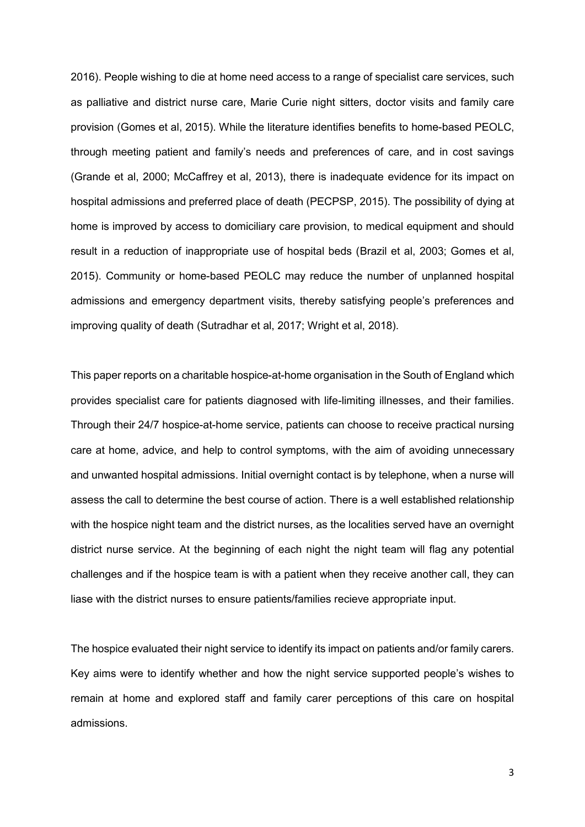2016). People wishing to die at home need access to a range of specialist care services, such as palliative and district nurse care, Marie Curie night sitters, doctor visits and family care provision (Gomes et al, 2015). While the literature identifies benefits to home-based PEOLC, through meeting patient and family's needs and preferences of care, and in cost savings (Grande et al, 2000; McCaffrey et al, 2013), there is inadequate evidence for its impact on hospital admissions and preferred place of death (PECPSP, 2015). The possibility of dying at home is improved by access to domiciliary care provision, to medical equipment and should result in a reduction of inappropriate use of hospital beds (Brazil et al, 2003; Gomes et al, 2015). Community or home-based PEOLC may reduce the number of unplanned hospital admissions and emergency department visits, thereby satisfying people's preferences and improving quality of death (Sutradhar et al, 2017; Wright et al, 2018).

This paper reports on a charitable hospice-at-home organisation in the South of England which provides specialist care for patients diagnosed with life-limiting illnesses, and their families. Through their 24/7 hospice-at-home service, patients can choose to receive practical nursing care at home, advice, and help to control symptoms, with the aim of avoiding unnecessary and unwanted hospital admissions. Initial overnight contact is by telephone, when a nurse will assess the call to determine the best course of action. There is a well established relationship with the hospice night team and the district nurses, as the localities served have an overnight district nurse service. At the beginning of each night the night team will flag any potential challenges and if the hospice team is with a patient when they receive another call, they can liase with the district nurses to ensure patients/families recieve appropriate input.

The hospice evaluated their night service to identify its impact on patients and/or family carers. Key aims were to identify whether and how the night service supported people's wishes to remain at home and explored staff and family carer perceptions of this care on hospital admissions.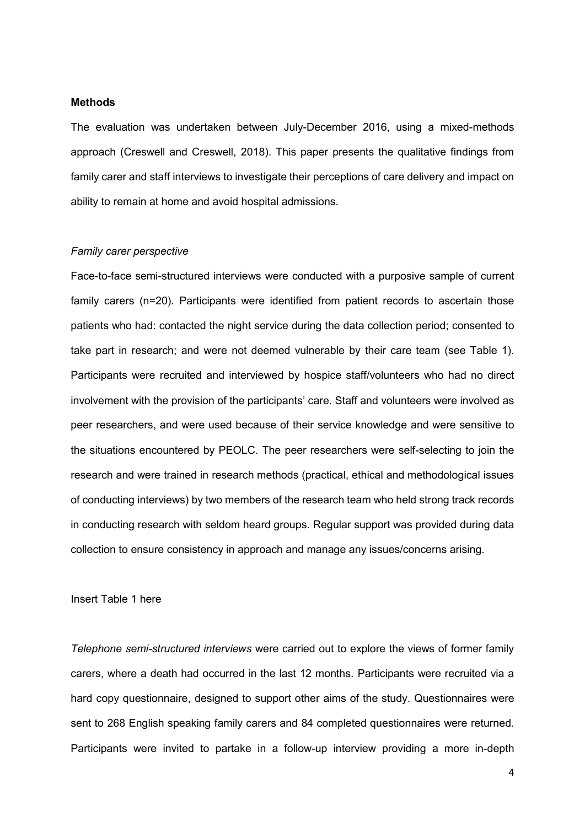## **Methods**

The evaluation was undertaken between July-December 2016, using a mixed-methods approach (Creswell and Creswell, 2018). This paper presents the qualitative findings from family carer and staff interviews to investigate their perceptions of care delivery and impact on ability to remain at home and avoid hospital admissions.

### *Family carer perspective*

Face-to-face semi-structured interviews were conducted with a purposive sample of current family carers (n=20). Participants were identified from patient records to ascertain those patients who had: contacted the night service during the data collection period; consented to take part in research; and were not deemed vulnerable by their care team (see Table 1). Participants were recruited and interviewed by hospice staff/volunteers who had no direct involvement with the provision of the participants' care. Staff and volunteers were involved as peer researchers, and were used because of their service knowledge and were sensitive to the situations encountered by PEOLC. The peer researchers were self-selecting to join the research and were trained in research methods (practical, ethical and methodological issues of conducting interviews) by two members of the research team who held strong track records in conducting research with seldom heard groups. Regular support was provided during data collection to ensure consistency in approach and manage any issues/concerns arising.

## Insert Table 1 here

*Telephone semi-structured interviews* were carried out to explore the views of former family carers, where a death had occurred in the last 12 months. Participants were recruited via a hard copy questionnaire, designed to support other aims of the study. Questionnaires were sent to 268 English speaking family carers and 84 completed questionnaires were returned. Participants were invited to partake in a follow-up interview providing a more in-depth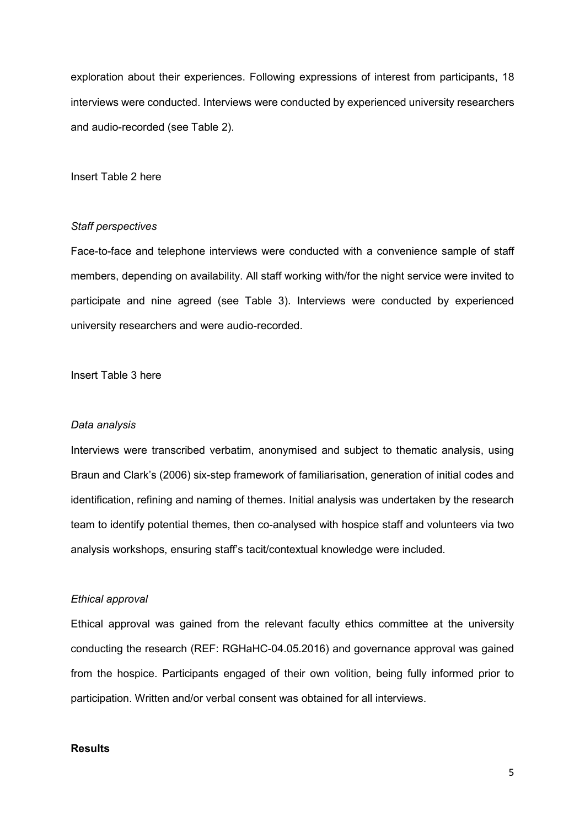exploration about their experiences. Following expressions of interest from participants, 18 interviews were conducted. Interviews were conducted by experienced university researchers and audio-recorded (see Table 2).

## Insert Table 2 here

#### *Staff perspectives*

Face-to-face and telephone interviews were conducted with a convenience sample of staff members, depending on availability. All staff working with/for the night service were invited to participate and nine agreed (see Table 3). Interviews were conducted by experienced university researchers and were audio-recorded.

## Insert Table 3 here

### *Data analysis*

Interviews were transcribed verbatim, anonymised and subject to thematic analysis, using Braun and Clark's (2006) six-step framework of familiarisation, generation of initial codes and identification, refining and naming of themes. Initial analysis was undertaken by the research team to identify potential themes, then co-analysed with hospice staff and volunteers via two analysis workshops, ensuring staff's tacit/contextual knowledge were included.

## *Ethical approval*

Ethical approval was gained from the relevant faculty ethics committee at the university conducting the research (REF: RGHaHC-04.05.2016) and governance approval was gained from the hospice. Participants engaged of their own volition, being fully informed prior to participation. Written and/or verbal consent was obtained for all interviews.

# **Results**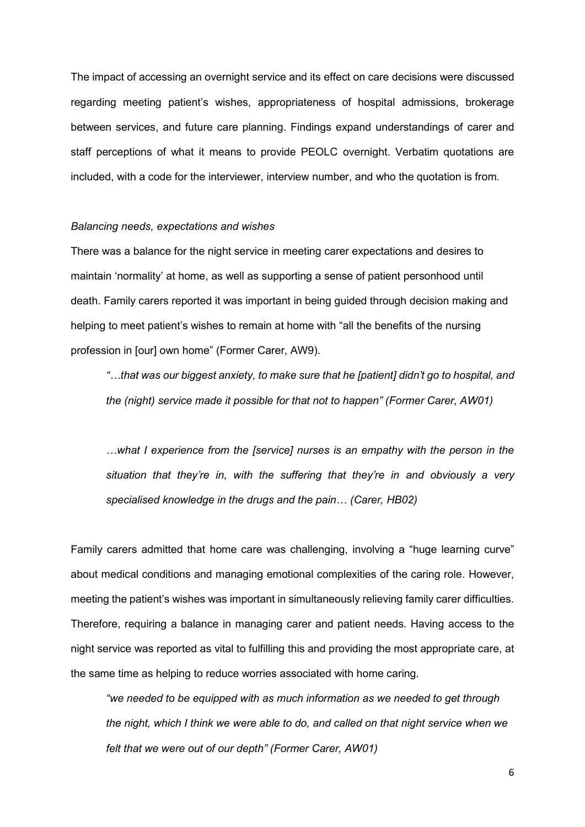The impact of accessing an overnight service and its effect on care decisions were discussed regarding meeting patient's wishes, appropriateness of hospital admissions, brokerage between services, and future care planning. Findings expand understandings of carer and staff perceptions of what it means to provide PEOLC overnight. Verbatim quotations are included, with a code for the interviewer, interview number, and who the quotation is from.

#### *Balancing needs, expectations and wishes*

There was a balance for the night service in meeting carer expectations and desires to maintain 'normality' at home, as well as supporting a sense of patient personhood until death. Family carers reported it was important in being guided through decision making and helping to meet patient's wishes to remain at home with "all the benefits of the nursing profession in [our] own home" (Former Carer, AW9).

*"…that was our biggest anxiety, to make sure that he [patient] didn't go to hospital, and the (night) service made it possible for that not to happen" (Former Carer, AW01)*

*…what I experience from the [service] nurses is an empathy with the person in the situation that they're in, with the suffering that they're in and obviously a very specialised knowledge in the drugs and the pain… (Carer, HB02)*

Family carers admitted that home care was challenging, involving a "huge learning curve" about medical conditions and managing emotional complexities of the caring role. However, meeting the patient's wishes was important in simultaneously relieving family carer difficulties. Therefore, requiring a balance in managing carer and patient needs. Having access to the night service was reported as vital to fulfilling this and providing the most appropriate care, at the same time as helping to reduce worries associated with home caring.

*"we needed to be equipped with as much information as we needed to get through the night, which I think we were able to do, and called on that night service when we felt that we were out of our depth" (Former Carer, AW01)*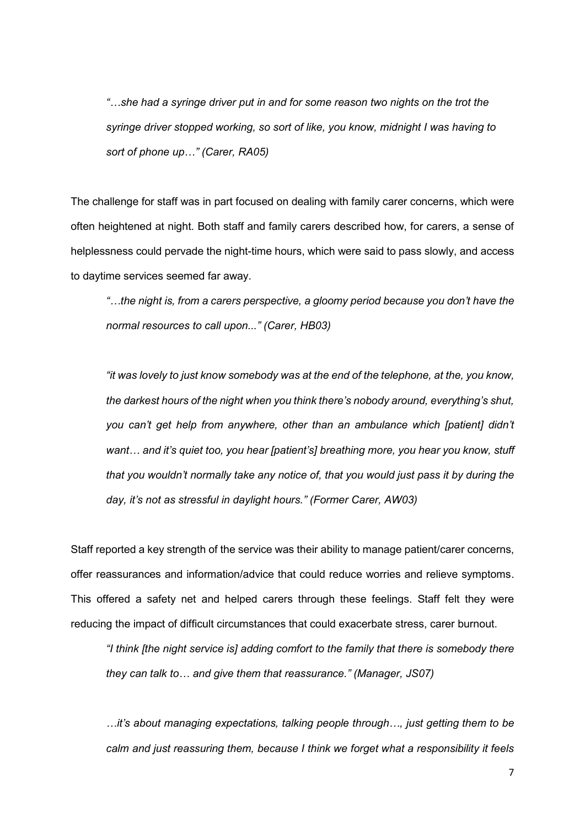*"…she had a syringe driver put in and for some reason two nights on the trot the syringe driver stopped working, so sort of like, you know, midnight I was having to sort of phone up…" (Carer, RA05)*

The challenge for staff was in part focused on dealing with family carer concerns, which were often heightened at night. Both staff and family carers described how, for carers, a sense of helplessness could pervade the night-time hours, which were said to pass slowly, and access to daytime services seemed far away.

*"…the night is, from a carers perspective, a gloomy period because you don't have the normal resources to call upon..." (Carer, HB03)*

*"it was lovely to just know somebody was at the end of the telephone, at the, you know, the darkest hours of the night when you think there's nobody around, everything's shut, you can't get help from anywhere, other than an ambulance which [patient] didn't want… and it's quiet too, you hear [patient's] breathing more, you hear you know, stuff that you wouldn't normally take any notice of, that you would just pass it by during the day, it's not as stressful in daylight hours." (Former Carer, AW03)*

Staff reported a key strength of the service was their ability to manage patient/carer concerns, offer reassurances and information/advice that could reduce worries and relieve symptoms. This offered a safety net and helped carers through these feelings. Staff felt they were reducing the impact of difficult circumstances that could exacerbate stress, carer burnout.

*"I think [the night service is] adding comfort to the family that there is somebody there they can talk to… and give them that reassurance." (Manager, JS07)*

*…it's about managing expectations, talking people through…, just getting them to be calm and just reassuring them, because I think we forget what a responsibility it feels*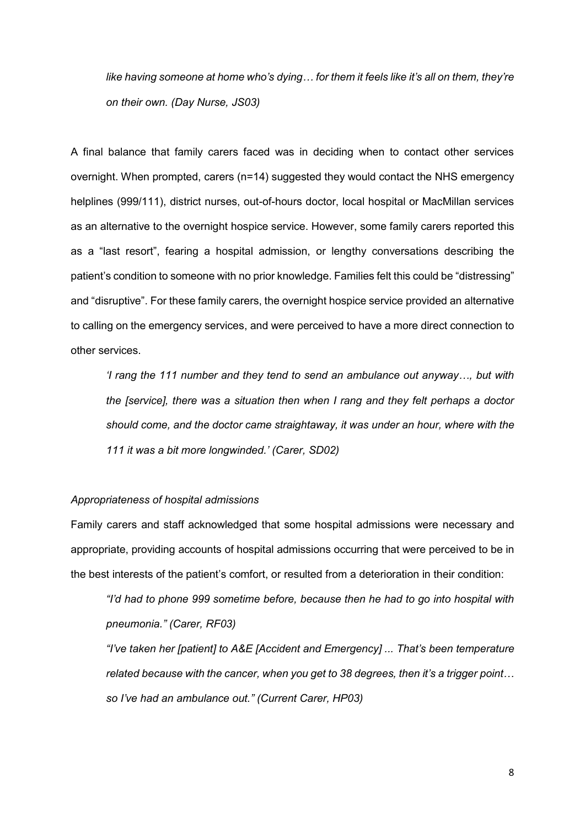*like having someone at home who's dying… for them it feels like it's all on them, they're on their own. (Day Nurse, JS03)*

A final balance that family carers faced was in deciding when to contact other services overnight. When prompted, carers (n=14) suggested they would contact the NHS emergency helplines (999/111), district nurses, out-of-hours doctor, local hospital or MacMillan services as an alternative to the overnight hospice service. However, some family carers reported this as a "last resort", fearing a hospital admission, or lengthy conversations describing the patient's condition to someone with no prior knowledge. Families felt this could be "distressing" and "disruptive". For these family carers, the overnight hospice service provided an alternative to calling on the emergency services, and were perceived to have a more direct connection to other services.

*'I rang the 111 number and they tend to send an ambulance out anyway…, but with the [service], there was a situation then when I rang and they felt perhaps a doctor should come, and the doctor came straightaway, it was under an hour, where with the 111 it was a bit more longwinded.' (Carer, SD02)*

# *Appropriateness of hospital admissions*

Family carers and staff acknowledged that some hospital admissions were necessary and appropriate, providing accounts of hospital admissions occurring that were perceived to be in the best interests of the patient's comfort, or resulted from a deterioration in their condition:

*"I'd had to phone 999 sometime before, because then he had to go into hospital with pneumonia." (Carer, RF03)*

*"I've taken her [patient] to A&E [Accident and Emergency] ... That's been temperature related because with the cancer, when you get to 38 degrees, then it's a trigger point… so I've had an ambulance out." (Current Carer, HP03)*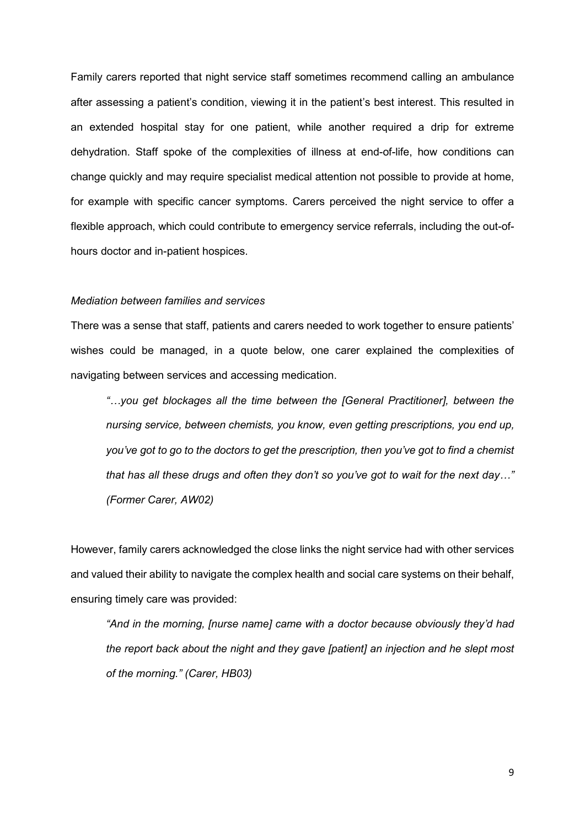Family carers reported that night service staff sometimes recommend calling an ambulance after assessing a patient's condition, viewing it in the patient's best interest. This resulted in an extended hospital stay for one patient, while another required a drip for extreme dehydration. Staff spoke of the complexities of illness at end-of-life, how conditions can change quickly and may require specialist medical attention not possible to provide at home, for example with specific cancer symptoms. Carers perceived the night service to offer a flexible approach, which could contribute to emergency service referrals, including the out-ofhours doctor and in-patient hospices.

### *Mediation between families and services*

There was a sense that staff, patients and carers needed to work together to ensure patients' wishes could be managed, in a quote below, one carer explained the complexities of navigating between services and accessing medication.

*"…you get blockages all the time between the [General Practitioner], between the nursing service, between chemists, you know, even getting prescriptions, you end up, you've got to go to the doctors to get the prescription, then you've got to find a chemist that has all these drugs and often they don't so you've got to wait for the next day…" (Former Carer, AW02)*

However, family carers acknowledged the close links the night service had with other services and valued their ability to navigate the complex health and social care systems on their behalf, ensuring timely care was provided:

*"And in the morning, [nurse name] came with a doctor because obviously they'd had the report back about the night and they gave [patient] an injection and he slept most of the morning." (Carer, HB03)*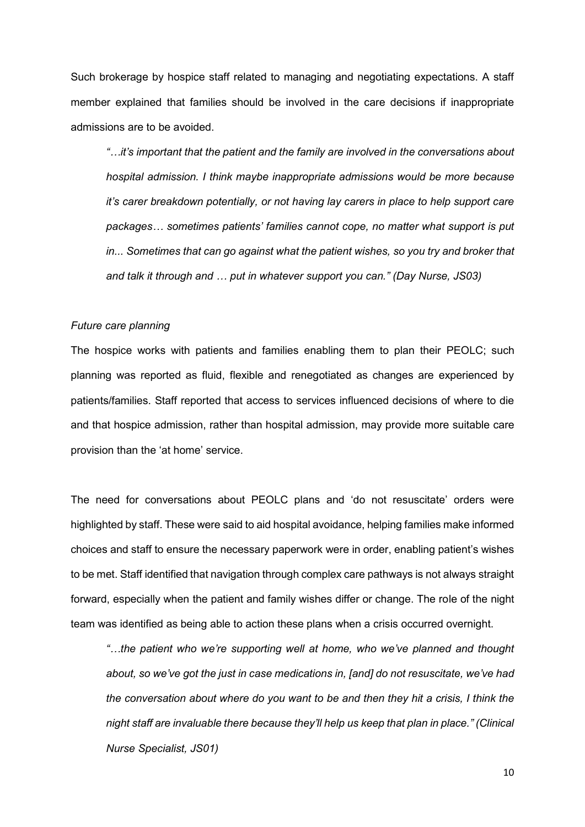Such brokerage by hospice staff related to managing and negotiating expectations. A staff member explained that families should be involved in the care decisions if inappropriate admissions are to be avoided.

*"…it's important that the patient and the family are involved in the conversations about hospital admission. I think maybe inappropriate admissions would be more because it's carer breakdown potentially, or not having lay carers in place to help support care packages… sometimes patients' families cannot cope, no matter what support is put in...* Sometimes that can go against what the patient wishes, so you try and broker that *and talk it through and … put in whatever support you can." (Day Nurse, JS03)*

#### *Future care planning*

The hospice works with patients and families enabling them to plan their PEOLC; such planning was reported as fluid, flexible and renegotiated as changes are experienced by patients/families. Staff reported that access to services influenced decisions of where to die and that hospice admission, rather than hospital admission, may provide more suitable care provision than the 'at home' service.

The need for conversations about PEOLC plans and 'do not resuscitate' orders were highlighted by staff. These were said to aid hospital avoidance, helping families make informed choices and staff to ensure the necessary paperwork were in order, enabling patient's wishes to be met. Staff identified that navigation through complex care pathways is not always straight forward, especially when the patient and family wishes differ or change. The role of the night team was identified as being able to action these plans when a crisis occurred overnight.

*"…the patient who we're supporting well at home, who we've planned and thought about, so we've got the just in case medications in, [and] do not resuscitate, we've had the conversation about where do you want to be and then they hit a crisis, I think the night staff are invaluable there because they'll help us keep that plan in place." (Clinical Nurse Specialist, JS01)*

10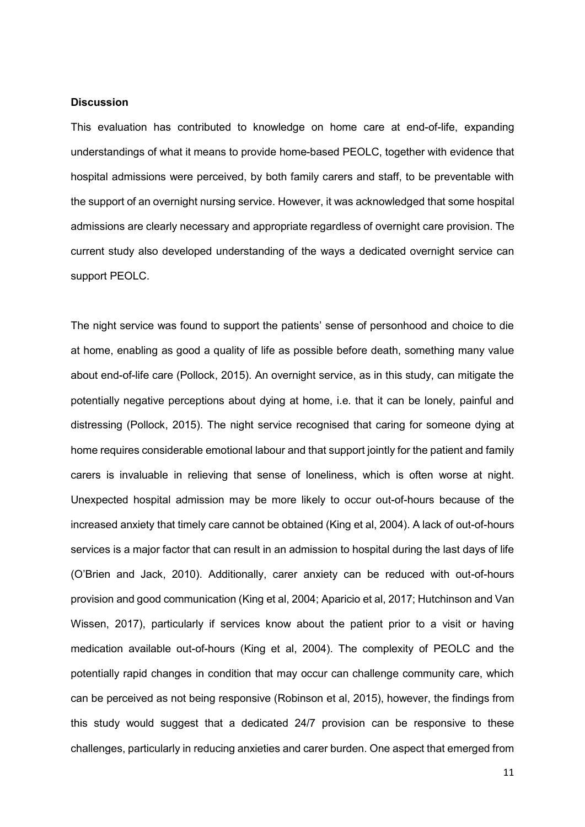### **Discussion**

This evaluation has contributed to knowledge on home care at end-of-life, expanding understandings of what it means to provide home-based PEOLC, together with evidence that hospital admissions were perceived, by both family carers and staff, to be preventable with the support of an overnight nursing service. However, it was acknowledged that some hospital admissions are clearly necessary and appropriate regardless of overnight care provision. The current study also developed understanding of the ways a dedicated overnight service can support PEOLC.

The night service was found to support the patients' sense of personhood and choice to die at home, enabling as good a quality of life as possible before death, something many value about end-of-life care (Pollock, 2015). An overnight service, as in this study, can mitigate the potentially negative perceptions about dying at home, i.e. that it can be lonely, painful and distressing (Pollock, 2015). The night service recognised that caring for someone dying at home requires considerable emotional labour and that support jointly for the patient and family carers is invaluable in relieving that sense of loneliness, which is often worse at night. Unexpected hospital admission may be more likely to occur out-of-hours because of the increased anxiety that timely care cannot be obtained (King et al, 2004). A lack of out-of-hours services is a major factor that can result in an admission to hospital during the last days of life (O'Brien and Jack, 2010). Additionally, carer anxiety can be reduced with out-of-hours provision and good communication (King et al, 2004; Aparicio et al, 2017; Hutchinson and Van Wissen, 2017), particularly if services know about the patient prior to a visit or having medication available out-of-hours (King et al, 2004). The complexity of PEOLC and the potentially rapid changes in condition that may occur can challenge community care, which can be perceived as not being responsive (Robinson et al, 2015), however, the findings from this study would suggest that a dedicated 24/7 provision can be responsive to these challenges, particularly in reducing anxieties and carer burden. One aspect that emerged from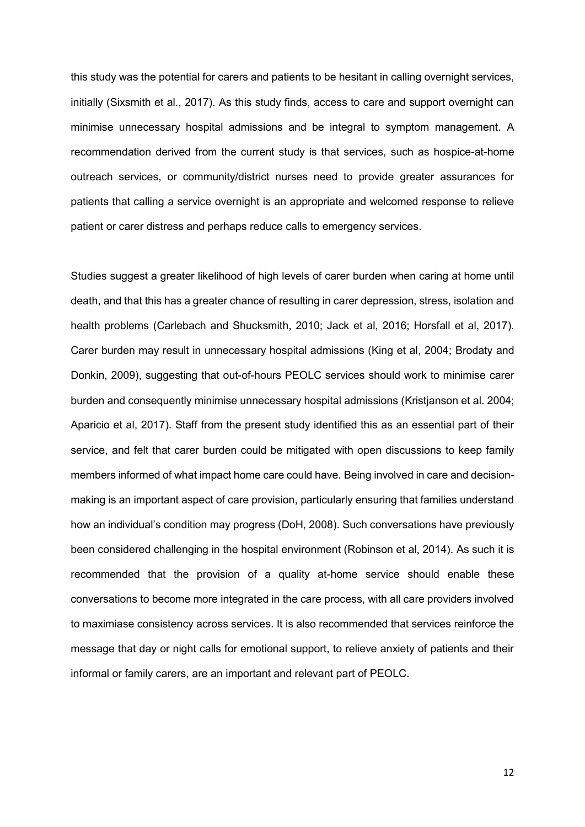this study was the potential for carers and patients to be hesitant in calling overnight services, initially (Sixsmith et al., 2017). As this study finds, access to care and support overnight can minimise unnecessary hospital admissions and be integral to symptom management. A recommendation derived from the current study is that services, such as hospice-at-home outreach services, or community/district nurses need to provide greater assurances for patients that calling a service overnight is an appropriate and welcomed response to relieve patient or carer distress and perhaps reduce calls to emergency services.

Studies suggest a greater likelihood of high levels of carer burden when caring at home until death, and that this has a greater chance of resulting in carer depression, stress, isolation and health problems (Carlebach and Shucksmith, 2010; Jack et al, 2016; Horsfall et al, 2017). Carer burden may result in unnecessary hospital admissions (King et al, 2004; Brodaty and Donkin, 2009), suggesting that out-of-hours PEOLC services should work to minimise carer burden and consequently minimise unnecessary hospital admissions (Kristjanson et al. 2004; Aparicio et al, 2017). Staff from the present study identified this as an essential part of their service, and felt that carer burden could be mitigated with open discussions to keep family members informed of what impact home care could have. Being involved in care and decisionmaking is an important aspect of care provision, particularly ensuring that families understand how an individual's condition may progress (DoH, 2008). Such conversations have previously been considered challenging in the hospital environment (Robinson et al, 2014). As such it is recommended that the provision of a quality at-home service should enable these conversations to become more integrated in the care process, with all care providers involved to maximiase consistency across services. It is also recommended that services reinforce the message that day or night calls for emotional support, to relieve anxiety of patients and their informal or family carers, are an important and relevant part of PEOLC.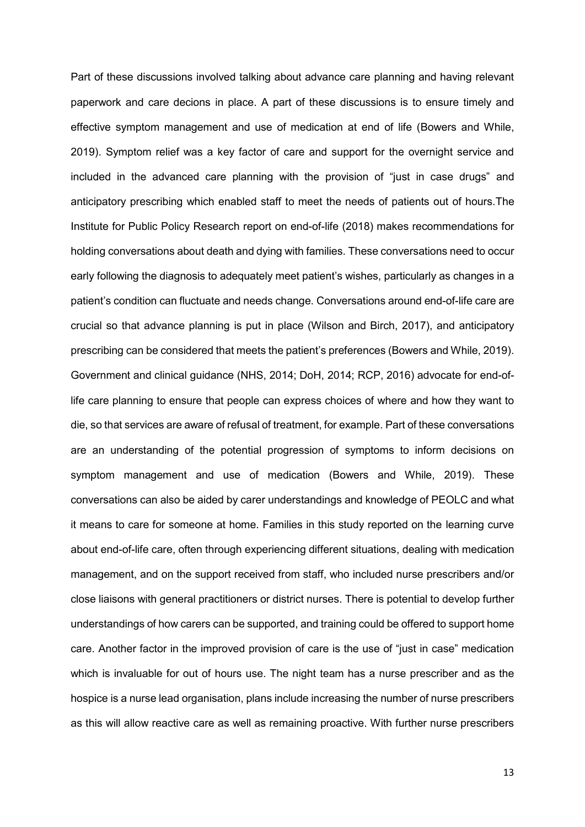Part of these discussions involved talking about advance care planning and having relevant paperwork and care decions in place. A part of these discussions is to ensure timely and effective symptom management and use of medication at end of life (Bowers and While, 2019). Symptom relief was a key factor of care and support for the overnight service and included in the advanced care planning with the provision of "just in case drugs" and anticipatory prescribing which enabled staff to meet the needs of patients out of hours.The Institute for Public Policy Research report on end-of-life (2018) makes recommendations for holding conversations about death and dying with families. These conversations need to occur early following the diagnosis to adequately meet patient's wishes, particularly as changes in a patient's condition can fluctuate and needs change. Conversations around end-of-life care are crucial so that advance planning is put in place (Wilson and Birch, 2017), and anticipatory prescribing can be considered that meets the patient's preferences (Bowers and While, 2019). Government and clinical guidance (NHS, 2014; DoH, 2014; RCP, 2016) advocate for end-oflife care planning to ensure that people can express choices of where and how they want to die, so that services are aware of refusal of treatment, for example. Part of these conversations are an understanding of the potential progression of symptoms to inform decisions on symptom management and use of medication (Bowers and While, 2019). These conversations can also be aided by carer understandings and knowledge of PEOLC and what it means to care for someone at home. Families in this study reported on the learning curve about end-of-life care, often through experiencing different situations, dealing with medication management, and on the support received from staff, who included nurse prescribers and/or close liaisons with general practitioners or district nurses. There is potential to develop further understandings of how carers can be supported, and training could be offered to support home care. Another factor in the improved provision of care is the use of "just in case" medication which is invaluable for out of hours use. The night team has a nurse prescriber and as the hospice is a nurse lead organisation, plans include increasing the number of nurse prescribers as this will allow reactive care as well as remaining proactive. With further nurse prescribers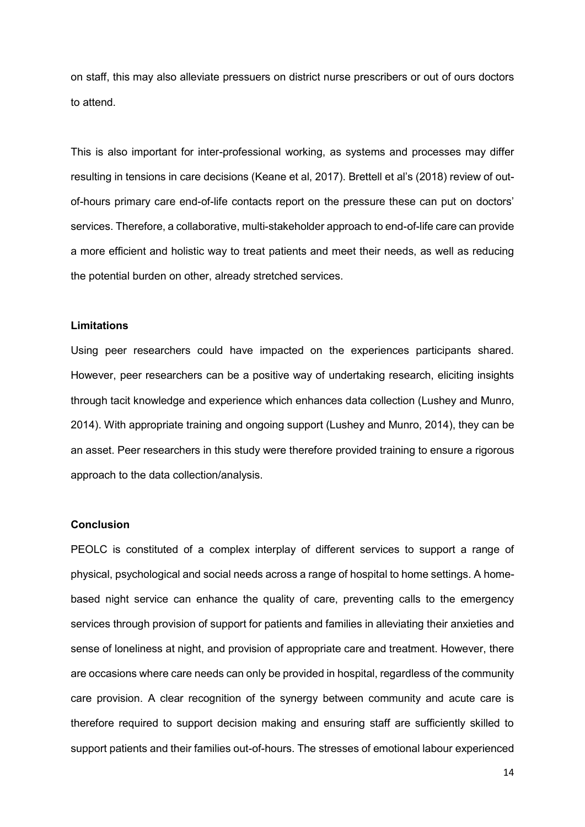on staff, this may also alleviate pressuers on district nurse prescribers or out of ours doctors to attend.

This is also important for inter-professional working, as systems and processes may differ resulting in tensions in care decisions (Keane et al, 2017). Brettell et al's (2018) review of outof-hours primary care end-of-life contacts report on the pressure these can put on doctors' services. Therefore, a collaborative, multi-stakeholder approach to end-of-life care can provide a more efficient and holistic way to treat patients and meet their needs, as well as reducing the potential burden on other, already stretched services.

# **Limitations**

Using peer researchers could have impacted on the experiences participants shared. However, peer researchers can be a positive way of undertaking research, eliciting insights through tacit knowledge and experience which enhances data collection (Lushey and Munro, 2014). With appropriate training and ongoing support (Lushey and Munro, 2014), they can be an asset. Peer researchers in this study were therefore provided training to ensure a rigorous approach to the data collection/analysis.

## **Conclusion**

PEOLC is constituted of a complex interplay of different services to support a range of physical, psychological and social needs across a range of hospital to home settings. A homebased night service can enhance the quality of care, preventing calls to the emergency services through provision of support for patients and families in alleviating their anxieties and sense of loneliness at night, and provision of appropriate care and treatment. However, there are occasions where care needs can only be provided in hospital, regardless of the community care provision. A clear recognition of the synergy between community and acute care is therefore required to support decision making and ensuring staff are sufficiently skilled to support patients and their families out-of-hours. The stresses of emotional labour experienced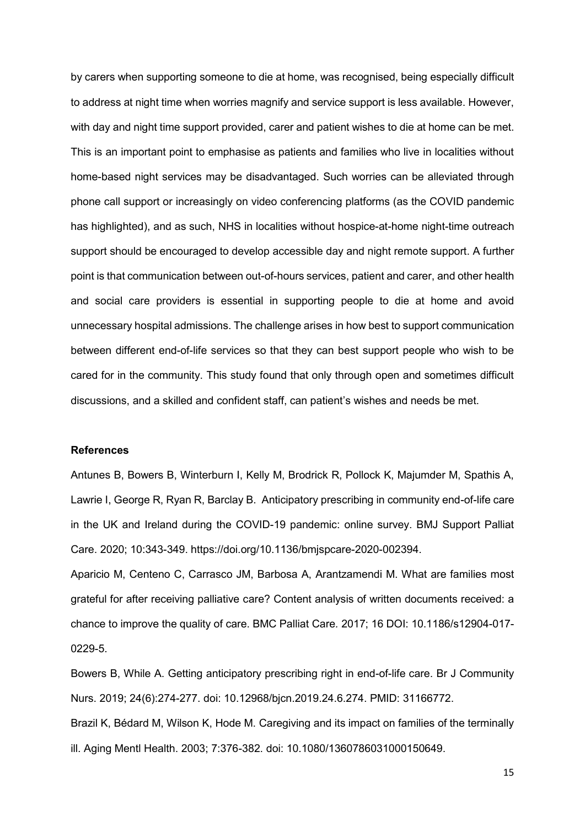by carers when supporting someone to die at home, was recognised, being especially difficult to address at night time when worries magnify and service support is less available. However, with day and night time support provided, carer and patient wishes to die at home can be met. This is an important point to emphasise as patients and families who live in localities without home-based night services may be disadvantaged. Such worries can be alleviated through phone call support or increasingly on video conferencing platforms (as the COVID pandemic has highlighted), and as such, NHS in localities without hospice-at-home night-time outreach support should be encouraged to develop accessible day and night remote support. A further point is that communication between out-of-hours services, patient and carer, and other health and social care providers is essential in supporting people to die at home and avoid unnecessary hospital admissions. The challenge arises in how best to support communication between different end-of-life services so that they can best support people who wish to be cared for in the community. This study found that only through open and sometimes difficult discussions, and a skilled and confident staff, can patient's wishes and needs be met.

# **References**

Antunes B, Bowers B, Winterburn I, Kelly M, Brodrick R, Pollock K, Majumder M, Spathis A, Lawrie I, George R, Ryan R, Barclay B. Anticipatory prescribing in community end-of-life care in the UK and Ireland during the COVID-19 pandemic: online survey. BMJ Support Palliat Care. 2020; 10:343-349. https://doi.org/10.1136/bmjspcare-2020-002394.

Aparicio M, Centeno C, Carrasco JM, Barbosa A, Arantzamendi M. What are families most grateful for after receiving palliative care? Content analysis of written documents received: a chance to improve the quality of care. BMC Palliat Care*.* 2017; 16 DOI: 10.1186/s12904-017- 0229-5.

Bowers B, While A. Getting anticipatory prescribing right in end-of-life care. Br J Community Nurs. 2019; 24(6):274-277. doi: 10.12968/bjcn.2019.24.6.274. PMID: 31166772.

Brazil K, Bédard M, Wilson K, Hode M. Caregiving and its impact on families of the terminally ill. Aging Mentl Health. 2003; 7:376-382. doi: 10.1080/1360786031000150649.

15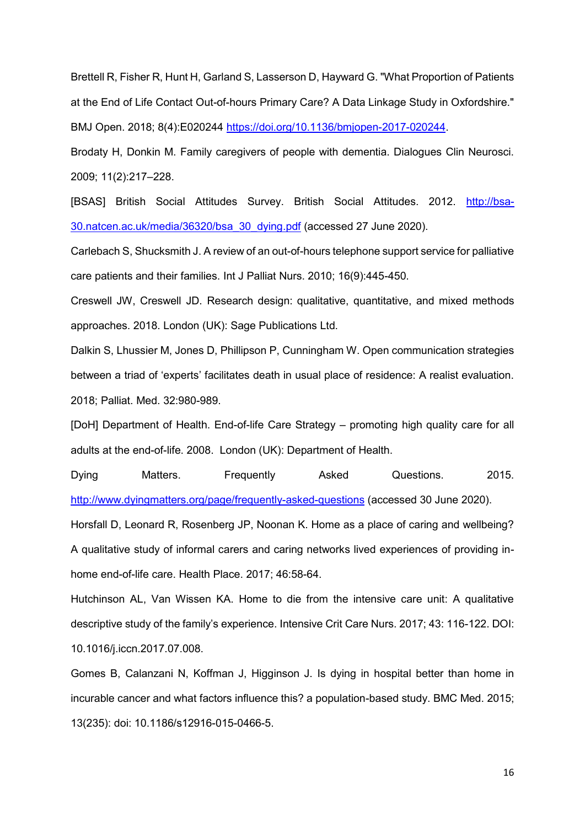Brettell R, Fisher R, Hunt H, Garland S, Lasserson D, Hayward G. "What Proportion of Patients at the End of Life Contact Out-of-hours Primary Care? A Data Linkage Study in Oxfordshire." BMJ Open. 2018; 8(4):E020244 [https://doi.org/10.1136/bmjopen-2017-020244.](https://doi.org/10.1136/bmjopen-2017-020244)

Brodaty H, Donkin M. Family caregivers of people with dementia. Dialogues Clin Neurosci. 2009; 11(2):217–228.

[BSAS] British Social Attitudes Survey. British Social Attitudes. 2012. [http://bsa-](http://bsa-30.natcen.ac.uk/media/36320/bsa_30_dying.pdf)[30.natcen.ac.uk/media/36320/bsa\\_30\\_dying.pdf](http://bsa-30.natcen.ac.uk/media/36320/bsa_30_dying.pdf) (accessed 27 June 2020).

Carlebach S, Shucksmith J. A review of an out-of-hours telephone support service for palliative care patients and their families. Int J Palliat Nurs. 2010; 16(9):445-450.

Creswell JW, Creswell JD. Research design: qualitative, quantitative, and mixed methods approaches. 2018. London (UK): Sage Publications Ltd.

Dalkin S, Lhussier M, Jones D, Phillipson P, Cunningham W. Open communication strategies between a triad of 'experts' facilitates death in usual place of residence: A realist evaluation. 2018; Palliat. Med. 32:980-989.

[DoH] Department of Health. End-of-life Care Strategy – promoting high quality care for all adults at the end-of-life. 2008. London (UK): Department of Health.

Dying Matters. Frequently Asked Questions. 2015. <http://www.dyingmatters.org/page/frequently-asked-questions> (accessed 30 June 2020).

Horsfall D, Leonard R, Rosenberg JP, Noonan K. Home as a place of caring and wellbeing? A qualitative study of informal carers and caring networks lived experiences of providing inhome end-of-life care. Health Place. 2017; 46:58-64.

Hutchinson AL, Van Wissen KA. Home to die from the intensive care unit: A qualitative descriptive study of the family's experience. Intensive Crit Care Nurs. 2017; 43: 116-122. DOI: 10.1016/j.iccn.2017.07.008.

Gomes B, Calanzani N, Koffman J, Higginson J. Is dying in hospital better than home in incurable cancer and what factors influence this? a population-based study. BMC Med. 2015; 13(235): doi: 10.1186/s12916-015-0466-5.

16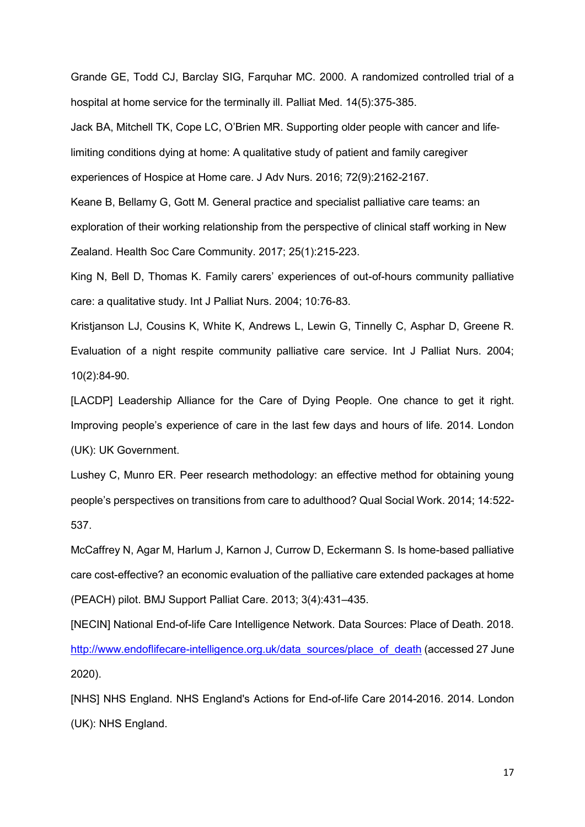Grande GE, Todd CJ, Barclay SIG, Farquhar MC. 2000. A randomized controlled trial of a hospital at home service for the terminally ill. Palliat Med. 14(5):375-385.

Jack BA, Mitchell TK, Cope LC, O'Brien MR. Supporting older people with cancer and life‐ limiting conditions dying at home: A qualitative study of patient and family caregiver experiences of Hospice at Home care. J Adv Nurs. 2016; 72(9):2162*-*2167.

Keane B, Bellamy G, Gott M. General practice and specialist palliative care teams: an exploration of their working relationship from the perspective of clinical staff working in New Zealand. Health Soc Care Community. 2017; 25(1):215-223.

King N, Bell D, Thomas K. Family carers' experiences of out-of-hours community palliative care: a qualitative study. Int J Palliat Nurs. 2004; 10:76-83.

Kristjanson LJ, Cousins K, White K, Andrews L, Lewin G, Tinnelly C, Asphar D, Greene R. Evaluation of a night respite community palliative care service. Int J Palliat Nurs. 2004; 10(2):84-90.

[LACDP] Leadership Alliance for the Care of Dying People. One chance to get it right. Improving people's experience of care in the last few days and hours of life. 2014. London (UK): UK Government.

Lushey C, Munro ER. Peer research methodology: an effective method for obtaining young people's perspectives on transitions from care to adulthood? Qual Social Work. 2014; 14:522- 537.

McCaffrey N, Agar M, Harlum J, Karnon J, Currow D, Eckermann S. Is home-based palliative care cost-effective? an economic evaluation of the palliative care extended packages at home (PEACH) pilot. BMJ Support Palliat Care. 2013; 3(4):431–435.

[NECIN] National End-of-life Care Intelligence Network. Data Sources: Place of Death. 2018. [http://www.endoflifecare-intelligence.org.uk/data\\_sources/place\\_of\\_death](http://www.endoflifecare-intelligence.org.uk/data_sources/place_of_death) (accessed 27 June 2020).

[NHS] NHS England. NHS England's Actions for End-of-life Care 2014-2016. 2014. London (UK): NHS England.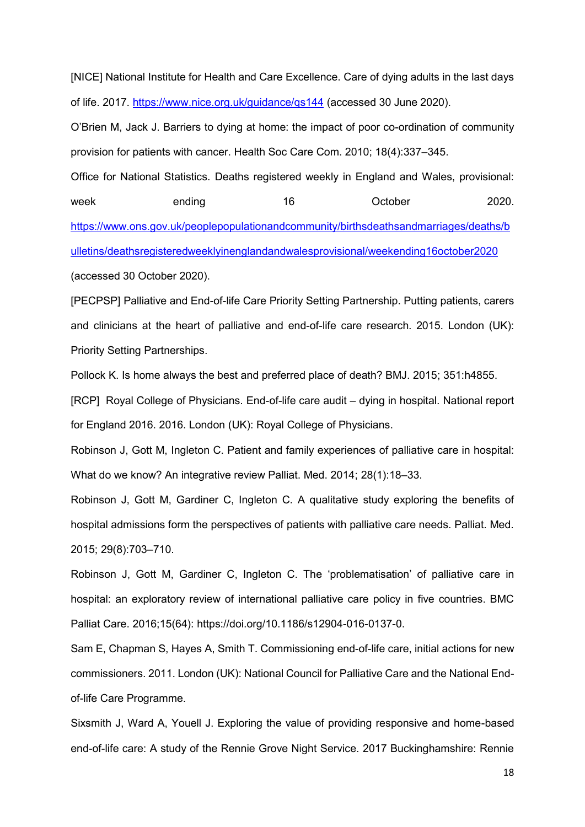[NICE] National Institute for Health and Care Excellence. Care of dying adults in the last days of life. 2017.<https://www.nice.org.uk/guidance/qs144> (accessed 30 June 2020).

O'Brien M, Jack J. Barriers to dying at home: the impact of poor co-ordination of community provision for patients with cancer. Health Soc Care Com. 2010; 18(4):337–345.

Office for National Statistics. Deaths registered weekly in England and Wales, provisional: week ending 16 October 2020. [https://www.ons.gov.uk/peoplepopulationandcommunity/birthsdeathsandmarriages/deaths/b](https://www.ons.gov.uk/peoplepopulationandcommunity/birthsdeathsandmarriages/deaths/bulletins/deathsregisteredweeklyinenglandandwalesprovisional/weekending16october2020) [ulletins/deathsregisteredweeklyinenglandandwalesprovisional/weekending16october2020](https://www.ons.gov.uk/peoplepopulationandcommunity/birthsdeathsandmarriages/deaths/bulletins/deathsregisteredweeklyinenglandandwalesprovisional/weekending16october2020)

(accessed 30 October 2020).

[PECPSP] Palliative and End-of-life Care Priority Setting Partnership. Putting patients, carers and clinicians at the heart of palliative and end-of-life care research. 2015. London (UK): Priority Setting Partnerships.

Pollock K. Is home always the best and preferred place of death? BMJ. 2015; 351:h4855.

[RCP] Royal College of Physicians. End-of-life care audit – dying in hospital. National report for England 2016. 2016. London (UK): Royal College of Physicians.

Robinson J, Gott M, Ingleton C. Patient and family experiences of palliative care in hospital: What do we know? An integrative review Palliat. Med. 2014; 28(1):18–33.

Robinson J, Gott M, Gardiner C, Ingleton C. A qualitative study exploring the benefits of hospital admissions form the perspectives of patients with palliative care needs. Palliat. Med. 2015; 29(8):703–710.

Robinson J, Gott M, Gardiner C, Ingleton C. The 'problematisation' of palliative care in hospital: an exploratory review of international palliative care policy in five countries. BMC Palliat Care. 2016;15(64): https://doi.org/10.1186/s12904-016-0137-0.

Sam E, Chapman S, Hayes A, Smith T. Commissioning end-of-life care, initial actions for new commissioners. 2011. London (UK): National Council for Palliative Care and the National Endof-life Care Programme.

Sixsmith J, Ward A, Youell J. Exploring the value of providing responsive and home-based end-of-life care: A study of the Rennie Grove Night Service. 2017 Buckinghamshire: Rennie

18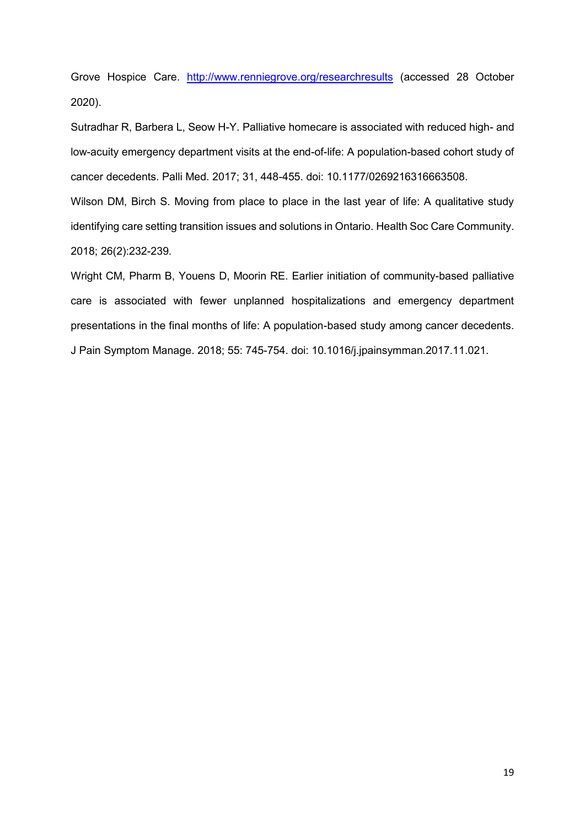Grove Hospice Care. <http://www.renniegrove.org/researchresults> (accessed 28 October 2020).

Sutradhar R, Barbera L, Seow H-Y. Palliative homecare is associated with reduced high- and low-acuity emergency department visits at the end-of-life: A population-based cohort study of cancer decedents. Palli Med. 2017; 31, 448-455. doi: 10.1177/0269216316663508.

Wilson DM, Birch S. Moving from place to place in the last year of life: A qualitative study identifying care setting transition issues and solutions in Ontario. Health Soc Care Community. 2018; 26(2):232-239.

Wright CM, Pharm B, Youens D, Moorin RE. Earlier initiation of community-based palliative care is associated with fewer unplanned hospitalizations and emergency department presentations in the final months of life: A population-based study among cancer decedents. J Pain Symptom Manage. 2018; 55: 745-754. doi: 10.1016/j.jpainsymman.2017.11.021.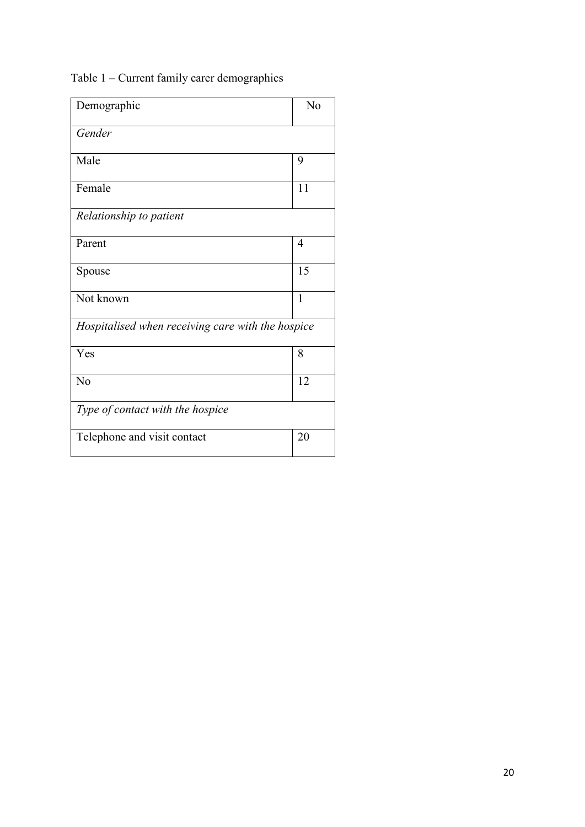Table 1 – Current family carer demographics

| Demographic                                       | No           |
|---------------------------------------------------|--------------|
| Gender                                            |              |
| Male                                              | 9            |
| Female                                            | 11           |
| Relationship to patient                           |              |
| Parent                                            | 4            |
| Spouse                                            | 15           |
| Not known                                         | $\mathbf{1}$ |
| Hospitalised when receiving care with the hospice |              |
| Yes                                               | 8            |
| No                                                | 12           |
| Type of contact with the hospice                  |              |
| Telephone and visit contact                       | 20           |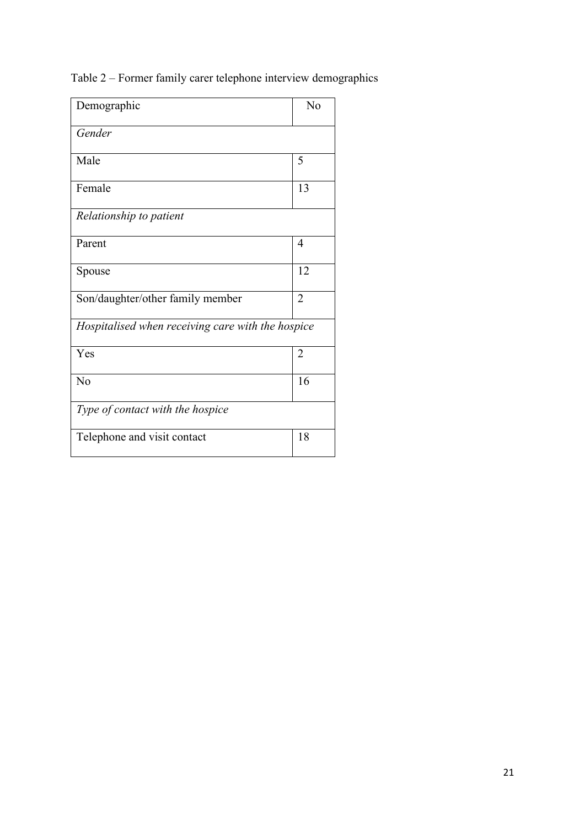Table 2 – Former family carer telephone interview demographics

| Demographic                                       | N <sub>o</sub> |
|---------------------------------------------------|----------------|
| Gender                                            |                |
| Male                                              | 5              |
| Female                                            | 13             |
| Relationship to patient                           |                |
| Parent                                            | 4              |
| Spouse                                            | 12             |
| Son/daughter/other family member                  | $\overline{2}$ |
| Hospitalised when receiving care with the hospice |                |
| Yes                                               | $\overline{2}$ |
| No                                                | 16             |
| Type of contact with the hospice                  |                |
| Telephone and visit contact                       | 18             |